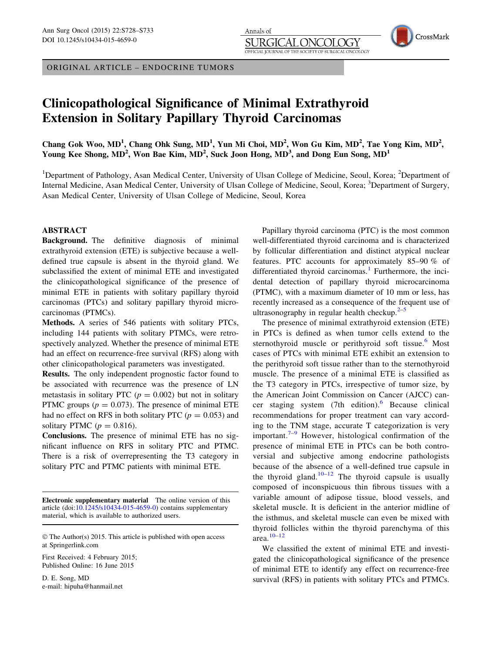ORIGINAL ARTICLE – ENDOCRINE TUMORS

# Clinicopathological Significance of Minimal Extrathyroid Extension in Solitary Papillary Thyroid Carcinomas

Chang Gok Woo, MD<sup>1</sup>, Chang Ohk Sung, MD<sup>1</sup>, Yun Mi Choi, MD<sup>2</sup>, Won Gu Kim, MD<sup>2</sup>, Tae Yong Kim, MD<sup>2</sup>, Young Kee Shong, MD<sup>2</sup>, Won Bae Kim, MD<sup>2</sup>, Suck Joon Hong, MD<sup>3</sup>, and Dong Eun Song, MD<sup>1</sup>

Annals of

JRGI

OFFICIAL JOURNAL OF THE SOCIETY OF

<sup>1</sup>Department of Pathology, Asan Medical Center, University of Ulsan College of Medicine, Seoul, Korea; <sup>2</sup>Department of Internal Medicine, Asan Medical Center, University of Ulsan College of Medicine, Seoul, Korea; <sup>3</sup>Department of Surgery, Asan Medical Center, University of Ulsan College of Medicine, Seoul, Korea

## ABSTRACT

Background. The definitive diagnosis of minimal extrathyroid extension (ETE) is subjective because a welldefined true capsule is absent in the thyroid gland. We subclassified the extent of minimal ETE and investigated the clinicopathological significance of the presence of minimal ETE in patients with solitary papillary thyroid carcinomas (PTCs) and solitary papillary thyroid microcarcinomas (PTMCs).

Methods. A series of 546 patients with solitary PTCs, including 144 patients with solitary PTMCs, were retrospectively analyzed. Whether the presence of minimal ETE had an effect on recurrence-free survival (RFS) along with other clinicopathological parameters was investigated.

Results. The only independent prognostic factor found to be associated with recurrence was the presence of LN metastasis in solitary PTC ( $p = 0.002$ ) but not in solitary PTMC groups ( $p = 0.073$ ). The presence of minimal ETE had no effect on RFS in both solitary PTC ( $p = 0.053$ ) and solitary PTMC ( $p = 0.816$ ).

Conclusions. The presence of minimal ETE has no significant influence on RFS in solitary PTC and PTMC. There is a risk of overrepresenting the T3 category in solitary PTC and PTMC patients with minimal ETE.

Electronic supplementary material The online version of this article (doi:[10.1245/s10434-015-4659-0\)](http://dx.doi.org/10.1245/s10434-015-4659-0) contains supplementary material, which is available to authorized users.

First Received: 4 February 2015; Published Online: 16 June 2015

D. E. Song, MD e-mail: hipuha@hanmail.net

Papillary thyroid carcinoma (PTC) is the most common well-differentiated thyroid carcinoma and is characterized by follicular differentiation and distinct atypical nuclear features. PTC accounts for approximately 85–90 % of differentiated thyroid carcinomas.<sup>[1](#page-5-0)</sup> Furthermore, the incidental detection of papillary thyroid microcarcinoma (PTMC), with a maximum diameter of 10 mm or less, has recently increased as a consequence of the frequent use of ultrasonography in regular health checkup. $2-5$ 

OGY

SURGICAL ONCOLOGY

CrossMark

The presence of minimal extrathyroid extension (ETE) in PTCs is defined as when tumor cells extend to the sternothyroid muscle or perithyroid soft tissue.<sup>[6](#page-5-0)</sup> Most cases of PTCs with minimal ETE exhibit an extension to the perithyroid soft tissue rather than to the sternothyroid muscle. The presence of a minimal ETE is classified as the T3 category in PTCs, irrespective of tumor size, by the American Joint Commission on Cancer (AJCC) cancer staging system  $(7th$  edition).<sup>[6](#page-5-0)</sup> Because clinical recommendations for proper treatment can vary according to the TNM stage, accurate T categorization is very important. $7-9$  However, histological confirmation of the presence of minimal ETE in PTCs can be both controversial and subjective among endocrine pathologists because of the absence of a well-defined true capsule in the thyroid gland.<sup>[10–12](#page-5-0)</sup> The thyroid capsule is usually composed of inconspicuous thin fibrous tissues with a variable amount of adipose tissue, blood vessels, and skeletal muscle. It is deficient in the anterior midline of the isthmus, and skeletal muscle can even be mixed with thyroid follicles within the thyroid parenchyma of this area. $10-12$ 

We classified the extent of minimal ETE and investigated the clinicopathological significance of the presence of minimal ETE to identify any effect on recurrence-free survival (RFS) in patients with solitary PTCs and PTMCs.

<sup>©</sup> The Author(s) 2015. This article is published with open access at Springerlink.com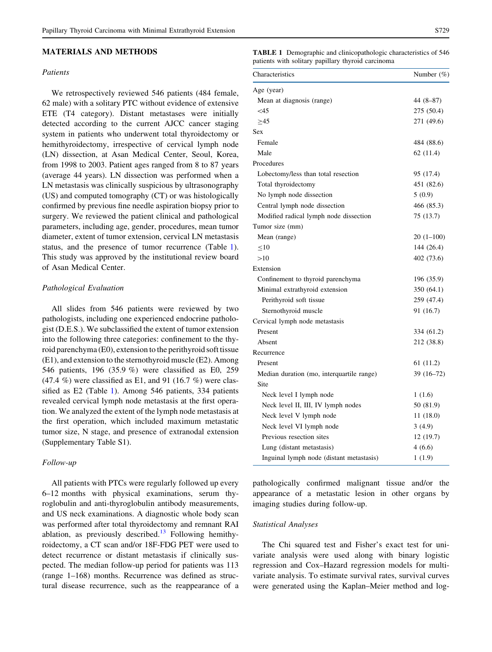#### <span id="page-1-0"></span>MATERIALS AND METHODS

## Patients

We retrospectively reviewed 546 patients (484 female, 62 male) with a solitary PTC without evidence of extensive ETE (T4 category). Distant metastases were initially detected according to the current AJCC cancer staging system in patients who underwent total thyroidectomy or hemithyroidectomy, irrespective of cervical lymph node (LN) dissection, at Asan Medical Center, Seoul, Korea, from 1998 to 2003. Patient ages ranged from 8 to 87 years (average 44 years). LN dissection was performed when a LN metastasis was clinically suspicious by ultrasonography (US) and computed tomography (CT) or was histologically confirmed by previous fine needle aspiration biopsy prior to surgery. We reviewed the patient clinical and pathological parameters, including age, gender, procedures, mean tumor diameter, extent of tumor extension, cervical LN metastasis status, and the presence of tumor recurrence (Table 1). This study was approved by the institutional review board of Asan Medical Center.

## Pathological Evaluation

All slides from 546 patients were reviewed by two pathologists, including one experienced endocrine pathologist (D.E.S.). We subclassified the extent of tumor extension into the following three categories: confinement to the thyroid parenchyma (E0), extension to the perithyroid soft tissue (E1), and extension to the sternothyroid muscle (E2). Among 546 patients, 196 (35.9 %) were classified as E0, 259  $(47.4\% )$  were classified as E1, and 91 (16.7 %) were classified as E2 (Table 1). Among 546 patients, 334 patients revealed cervical lymph node metastasis at the first operation. We analyzed the extent of the lymph node metastasis at the first operation, which included maximum metastatic tumor size, N stage, and presence of extranodal extension (Supplementary Table S1).

### Follow-up

All patients with PTCs were regularly followed up every 6–12 months with physical examinations, serum thyroglobulin and anti-thyroglobulin antibody measurements, and US neck examinations. A diagnostic whole body scan was performed after total thyroidectomy and remnant RAI ablation, as previously described.<sup>[13](#page-5-0)</sup> Following hemithyroidectomy, a CT scan and/or 18F-FDG PET were used to detect recurrence or distant metastasis if clinically suspected. The median follow-up period for patients was 113 (range 1–168) months. Recurrence was defined as structural disease recurrence, such as the reappearance of a TABLE 1 Demographic and clinicopathologic characteristics of 546 patients with solitary papillary thyroid carcinoma

| Characteristics                           | Number (%)  |  |  |
|-------------------------------------------|-------------|--|--|
| Age (year)                                |             |  |  |
| Mean at diagnosis (range)                 | 44 (8–87)   |  |  |
| $<$ 45                                    | 275 (50.4)  |  |  |
| >45                                       | 271 (49.6)  |  |  |
| Sex                                       |             |  |  |
| Female                                    | 484 (88.6)  |  |  |
| Male                                      | 62 (11.4)   |  |  |
| Procedures                                |             |  |  |
| Lobectomy/less than total resection       | 95 (17.4)   |  |  |
| Total thyroidectomy                       | 451 (82.6)  |  |  |
| No lymph node dissection                  | 5(0.9)      |  |  |
| Central lymph node dissection             | 466 (85.3)  |  |  |
| Modified radical lymph node dissection    | 75 (13.7)   |  |  |
| Tumor size (mm)                           |             |  |  |
| Mean (range)                              | $20(1-100)$ |  |  |
| $\leq10$                                  | 144 (26.4)  |  |  |
| >10                                       | 402 (73.6)  |  |  |
| Extension                                 |             |  |  |
| Confinement to thyroid parenchyma         | 196 (35.9)  |  |  |
| Minimal extrathyroid extension            | 350 (64.1)  |  |  |
| Perithyroid soft tissue                   | 259 (47.4)  |  |  |
| Sternothyroid muscle                      | 91 (16.7)   |  |  |
| Cervical lymph node metastasis            |             |  |  |
| Present                                   | 334 (61.2)  |  |  |
| Absent                                    | 212 (38.8)  |  |  |
| Recurrence                                |             |  |  |
| Present                                   | 61(11.2)    |  |  |
| Median duration (mo, interquartile range) | $39(16-72)$ |  |  |
| Site                                      |             |  |  |
| Neck level I lymph node                   | 1(1.6)      |  |  |
| Neck level II, III, IV lymph nodes        | 50 (81.9)   |  |  |
| Neck level V lymph node                   | 11(18.0)    |  |  |
| Neck level VI lymph node                  | 3(4.9)      |  |  |
| Previous resection sites                  | 12(19.7)    |  |  |
| Lung (distant metastasis)                 | 4(6.6)      |  |  |
| Inguinal lymph node (distant metastasis)  | 1(1.9)      |  |  |

pathologically confirmed malignant tissue and/or the appearance of a metastatic lesion in other organs by imaging studies during follow-up.

#### Statistical Analyses

The Chi squared test and Fisher's exact test for univariate analysis were used along with binary logistic regression and Cox–Hazard regression models for multivariate analysis. To estimate survival rates, survival curves were generated using the Kaplan–Meier method and log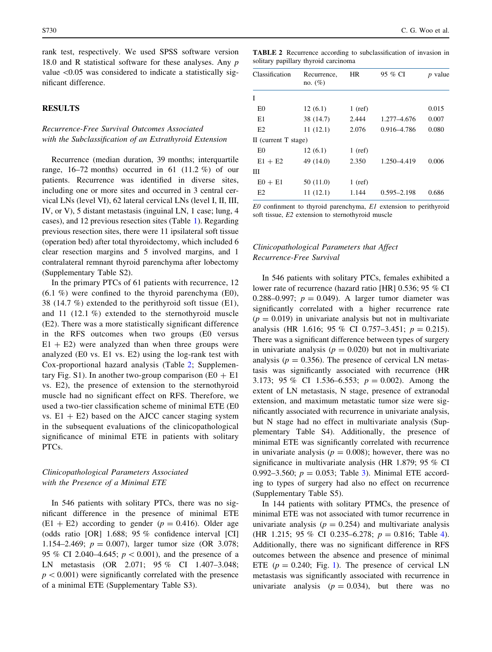<span id="page-2-0"></span>rank test, respectively. We used SPSS software version 18.0 and R statistical software for these analyses. Any  $p$ value  $\leq 0.05$  was considered to indicate a statistically significant difference.

## **RESULTS**

## Recurrence-Free Survival Outcomes Associated with the Subclassification of an Extrathyroid Extension

Recurrence (median duration, 39 months; interquartile range,  $16-72$  months) occurred in 61 (11.2 %) of our patients. Recurrence was identified in diverse sites, including one or more sites and occurred in 3 central cervical LNs (level VI), 62 lateral cervical LNs (level I, II, III, IV, or V), 5 distant metastasis (inguinal LN, 1 case; lung, 4 cases), and 12 previous resection sites (Table [1](#page-1-0)). Regarding previous resection sites, there were 11 ipsilateral soft tissue (operation bed) after total thyroidectomy, which included 6 clear resection margins and 5 involved margins, and 1 contralateral remnant thyroid parenchyma after lobectomy (Supplementary Table S2).

In the primary PTCs of 61 patients with recurrence, 12 (6.1 %) were confined to the thyroid parenchyma (E0), 38 (14.7 %) extended to the perithyroid soft tissue (E1), and 11 (12.1 %) extended to the sternothyroid muscle (E2). There was a more statistically significant difference in the RFS outcomes when two groups (E0 versus  $E1 + E2$ ) were analyzed than when three groups were analyzed (E0 vs. E1 vs. E2) using the log-rank test with Cox-proportional hazard analysis (Table 2; Supplementary Fig. S1). In another two-group comparison ( $E0 + E1$ vs. E2), the presence of extension to the sternothyroid muscle had no significant effect on RFS. Therefore, we used a two-tier classification scheme of minimal ETE (E0 vs.  $E1 + E2$ ) based on the AJCC cancer staging system in the subsequent evaluations of the clinicopathological significance of minimal ETE in patients with solitary PTCs.

## Clinicopathological Parameters Associated with the Presence of a Minimal ETE

In 546 patients with solitary PTCs, there was no significant difference in the presence of minimal ETE  $(E1 + E2)$  according to gender ( $p = 0.416$ ). Older age (odds ratio [OR] 1.688; 95 % confidence interval [CI] 1.154–2.469;  $p = 0.007$ ), larger tumor size (OR 3.078; 95 % CI 2.040–4.645;  $p < 0.001$ ), and the presence of a LN metastasis (OR 2.071; 95 % CI 1.407–3.048;  $p<0.001$ ) were significantly correlated with the presence of a minimal ETE (Supplementary Table S3).

TABLE 2 Recurrence according to subclassification of invasion in solitary papillary thyroid carcinoma

| Classification         | Recurrence,<br>no. $(\%)$ | <b>HR</b> | 95 % CI         | <i>p</i> value |
|------------------------|---------------------------|-----------|-----------------|----------------|
| I                      |                           |           |                 |                |
| E0                     | 12(6.1)                   | $1$ (ref) |                 | 0.015          |
| E1                     | 38 (14.7)                 | 2.444     | 1.277-4.676     | 0.007          |
| E2                     | 11(12.1)                  | 2.076     | 0.916-4.786     | 0.080          |
| II (current $T$ stage) |                           |           |                 |                |
| E <sub>0</sub>         | 12(6.1)                   | $1$ (ref) |                 |                |
| $E1 + E2$              | 49 (14.0)                 | 2.350     | 1.250-4.419     | 0.006          |
| Ш                      |                           |           |                 |                |
| $E0 + E1$              | 50(11.0)                  | $1$ (ref) |                 |                |
| E2                     | 11(12.1)                  | 1.144     | $0.595 - 2.198$ | 0.686          |

 $E0$  confinment to thyroid parenchyma,  $E1$  extension to perithyroid soft tissue, E2 extension to sternothyroid muscle

# Clinicopathological Parameters that Affect Recurrence-Free Survival

In 546 patients with solitary PTCs, females exhibited a lower rate of recurrence (hazard ratio [HR] 0.536; 95 % CI 0.288–0.997;  $p = 0.049$ . A larger tumor diameter was significantly correlated with a higher recurrence rate  $(p = 0.019)$  in univariate analysis but not in multivariate analysis (HR 1.616; 95 % CI 0.757–3.451;  $p = 0.215$ ). There was a significant difference between types of surgery in univariate analysis ( $p = 0.020$ ) but not in multivariate analysis ( $p = 0.356$ ). The presence of cervical LN metastasis was significantly associated with recurrence (HR 3.173; 95 % CI 1.536–6.553;  $p = 0.002$ ). Among the extent of LN metastasis, N stage, presence of extranodal extension, and maximum metastatic tumor size were significantly associated with recurrence in univariate analysis, but N stage had no effect in multivariate analysis (Supplementary Table S4). Additionally, the presence of minimal ETE was significantly correlated with recurrence in univariate analysis ( $p = 0.008$ ); however, there was no significance in multivariate analysis (HR 1.879; 95 % CI 0.992–3.560;  $p = 0.053$ ; Table [3\)](#page-3-0). Minimal ETE according to types of surgery had also no effect on recurrence (Supplementary Table S5).

In 144 patients with solitary PTMCs, the presence of minimal ETE was not associated with tumor recurrence in univariate analysis ( $p = 0.254$ ) and multivariate analysis (HR 1.215; 95 % CI 0.235–6.278;  $p = 0.816$ ; Table [4](#page-4-0)). Additionally, there was no significant difference in RFS outcomes between the absence and presence of minimal ETE ( $p = 0.240$ ; Fig. [1](#page-4-0)). The presence of cervical LN metastasis was significantly associated with recurrence in univariate analysis  $(p = 0.034)$ , but there was no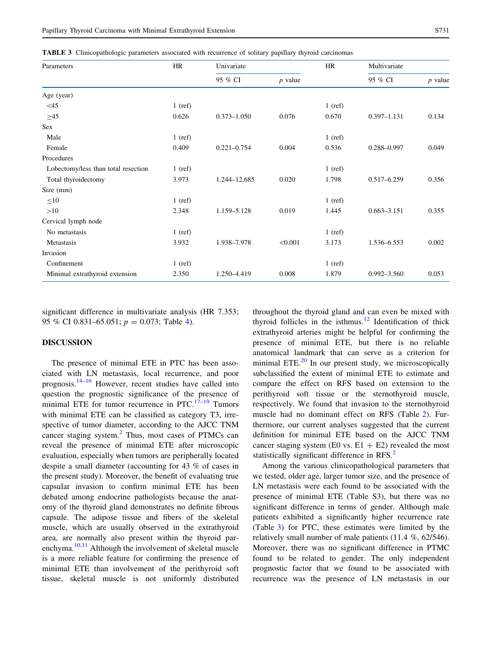<span id="page-3-0"></span>TABLE 3 Clinicopathologic parameters associated with recurrence of solitary papillary thyroid carcinomas

| Parameters                          | HR        | Univariate      |           | HR        | Multivariate    |           |
|-------------------------------------|-----------|-----------------|-----------|-----------|-----------------|-----------|
|                                     |           | 95 % CI         | $p$ value |           | 95 % CI         | $p$ value |
| Age (year)                          |           |                 |           |           |                 |           |
| $<$ 45                              | $1$ (ref) |                 |           | $1$ (ref) |                 |           |
| $\geq 45$                           | 0.626     | $0.373 - 1.050$ | 0.076     | 0.670     | $0.397 - 1.131$ | 0.134     |
| Sex                                 |           |                 |           |           |                 |           |
| Male                                | $1$ (ref) |                 |           | $1$ (ref) |                 |           |
| Female                              | 0.409     | $0.221 - 0.754$ | 0.004     | 0.536     | 0.288-0.997     | 0.049     |
| Procedures                          |           |                 |           |           |                 |           |
| Lobectomy/less than total resection | $1$ (ref) |                 |           | $1$ (ref) |                 |           |
| Total thyroidectomy                 | 3.973     | 1.244-12.685    | 0.020     | 1.798     | $0.517 - 6.259$ | 0.356     |
| Size (mm)                           |           |                 |           |           |                 |           |
| $\leq 10$                           | $1$ (ref) |                 |           | $1$ (ref) |                 |           |
| >10                                 | 2.348     | 1.159-5.128     | 0.019     | 1.445     | $0.663 - 3.151$ | 0.355     |
| Cervical lymph node                 |           |                 |           |           |                 |           |
| No metastasis                       | $1$ (ref) |                 |           | $1$ (ref) |                 |           |
| Metastasis                          | 3.932     | 1.938-7.978     | < 0.001   | 3.173     | 1.536-6.553     | 0.002     |
| Invasion                            |           |                 |           |           |                 |           |
| Confinement                         | $1$ (ref) |                 |           | $1$ (ref) |                 |           |
| Minimal extrathyroid extension      | 2.350     | 1.250-4.419     | 0.008     | 1.879     | $0.992 - 3.560$ | 0.053     |

significant difference in multivariate analysis (HR 7.353; 95 % CI 0.831–65.051;  $p = 0.073$ ; Table [4](#page-4-0)).

#### DISCUSSION

The presence of minimal ETE in PTC has been associated with LN metastasis, local recurrence, and poor prognosis.<sup>[14–16](#page-5-0)</sup> However, recent studies have called into question the prognostic significance of the presence of minimal ETE for tumor recurrence in PTC. $17-19$  Tumors with minimal ETE can be classified as category T3, irrespective of tumor diameter, according to the AJCC TNM cancer staging system.<sup>[2](#page-5-0)</sup> Thus, most cases of PTMCs can reveal the presence of minimal ETE after microscopic evaluation, especially when tumors are peripherally located despite a small diameter (accounting for 43 % of cases in the present study). Moreover, the benefit of evaluating true capsular invasion to confirm minimal ETE has been debated among endocrine pathologists because the anatomy of the thyroid gland demonstrates no definite fibrous capsule. The adipose tissue and fibers of the skeletal muscle, which are usually observed in the extrathyroid area, are normally also present within the thyroid parenchyma. $10,11$  Although the involvement of skeletal muscle is a more reliable feature for confirming the presence of minimal ETE than involvement of the perithyroid soft tissue, skeletal muscle is not uniformly distributed throughout the thyroid gland and can even be mixed with thyroid follicles in the isthmus.<sup>[12](#page-5-0)</sup> Identification of thick extrathyroid arteries might be helpful for confirming the presence of minimal ETE, but there is no reliable anatomical landmark that can serve as a criterion for minimal ETE. $^{20}$  $^{20}$  $^{20}$  In our present study, we microscopically subclassified the extent of minimal ETE to estimate and compare the effect on RFS based on extension to the perithyroid soft tissue or the sternothyroid muscle, respectively. We found that invasion to the sternothyroid muscle had no dominant effect on RFS (Table [2](#page-2-0)). Furthermore, our current analyses suggested that the current definition for minimal ETE based on the AJCC TNM cancer staging system (E0 vs.  $E1 + E2$ ) revealed the most statistically significant difference in RFS.<sup>[2](#page-5-0)</sup>

Among the various clinicopathological parameters that we tested, older age, larger tumor size, and the presence of LN metastasis were each found to be associated with the presence of minimal ETE (Table S3), but there was no significant difference in terms of gender. Although male patients exhibited a significantly higher recurrence rate (Table 3) for PTC, these estimates were limited by the relatively small number of male patients (11.4 %, 62/546). Moreover, there was no significant difference in PTMC found to be related to gender. The only independent prognostic factor that we found to be associated with recurrence was the presence of LN metastasis in our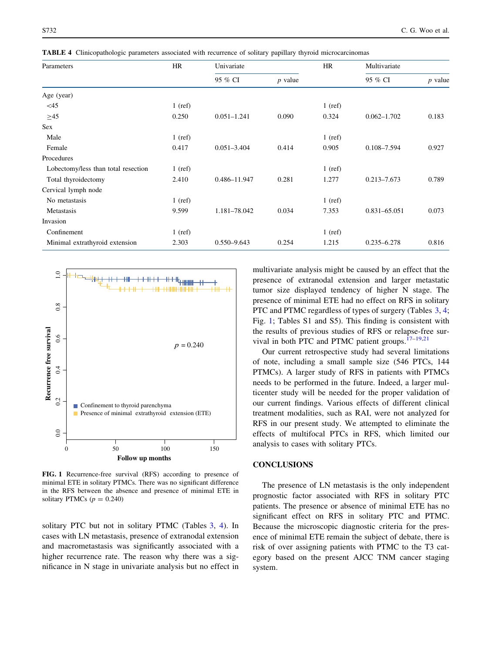<span id="page-4-0"></span>TABLE 4 Clinicopathologic parameters associated with recurrence of solitary papillary thyroid microcarcinomas

| Parameters                          | HR        | Univariate      |           | HR        | Multivariate    |           |
|-------------------------------------|-----------|-----------------|-----------|-----------|-----------------|-----------|
|                                     |           | 95 % CI         | $p$ value |           | 95 % CI         | $p$ value |
| Age (year)                          |           |                 |           |           |                 |           |
| $<$ 45                              | $1$ (ref) |                 |           | $1$ (ref) |                 |           |
| $>45$                               | 0.250     | $0.051 - 1.241$ | 0.090     | 0.324     | $0.062 - 1.702$ | 0.183     |
| Sex                                 |           |                 |           |           |                 |           |
| Male                                | $1$ (ref) |                 |           | $1$ (ref) |                 |           |
| Female                              | 0.417     | $0.051 - 3.404$ | 0.414     | 0.905     | 0.108-7.594     | 0.927     |
| Procedures                          |           |                 |           |           |                 |           |
| Lobectomy/less than total resection | $1$ (ref) |                 |           | $1$ (ref) |                 |           |
| Total thyroidectomy                 | 2.410     | 0.486-11.947    | 0.281     | 1.277     | $0.213 - 7.673$ | 0.789     |
| Cervical lymph node                 |           |                 |           |           |                 |           |
| No metastasis                       | $1$ (ref) |                 |           | $1$ (ref) |                 |           |
| Metastasis                          | 9.599     | 1.181-78.042    | 0.034     | 7.353     | 0.831-65.051    | 0.073     |
| Invasion                            |           |                 |           |           |                 |           |
| Confinement                         | $1$ (ref) |                 |           | $1$ (ref) |                 |           |
| Minimal extrathyroid extension      | 2.303     | $0.550 - 9.643$ | 0.254     | 1.215     | $0.235 - 6.278$ | 0.816     |



FIG. 1 Recurrence-free survival (RFS) according to presence of minimal ETE in solitary PTMCs. There was no significant difference in the RFS between the absence and presence of minimal ETE in solitary PTMCs  $(p = 0.240)$ 

solitary PTC but not in solitary PTMC (Tables [3,](#page-3-0) 4). In cases with LN metastasis, presence of extranodal extension and macrometastasis was significantly associated with a higher recurrence rate. The reason why there was a significance in N stage in univariate analysis but no effect in

multivariate analysis might be caused by an effect that the presence of extranodal extension and larger metastatic tumor size displayed tendency of higher N stage. The presence of minimal ETE had no effect on RFS in solitary PTC and PTMC regardless of types of surgery (Tables [3,](#page-3-0) 4; Fig. 1; Tables S1 and S5). This finding is consistent with the results of previous studies of RFS or relapse-free survival in both PTC and PTMC patient groups.[17–19,21](#page-5-0)

Our current retrospective study had several limitations of note, including a small sample size (546 PTCs, 144 PTMCs). A larger study of RFS in patients with PTMCs needs to be performed in the future. Indeed, a larger multicenter study will be needed for the proper validation of our current findings. Various effects of different clinical treatment modalities, such as RAI, were not analyzed for RFS in our present study. We attempted to eliminate the effects of multifocal PTCs in RFS, which limited our analysis to cases with solitary PTCs.

## CONCLUSIONS

The presence of LN metastasis is the only independent prognostic factor associated with RFS in solitary PTC patients. The presence or absence of minimal ETE has no significant effect on RFS in solitary PTC and PTMC. Because the microscopic diagnostic criteria for the presence of minimal ETE remain the subject of debate, there is risk of over assigning patients with PTMC to the T3 category based on the present AJCC TNM cancer staging system.